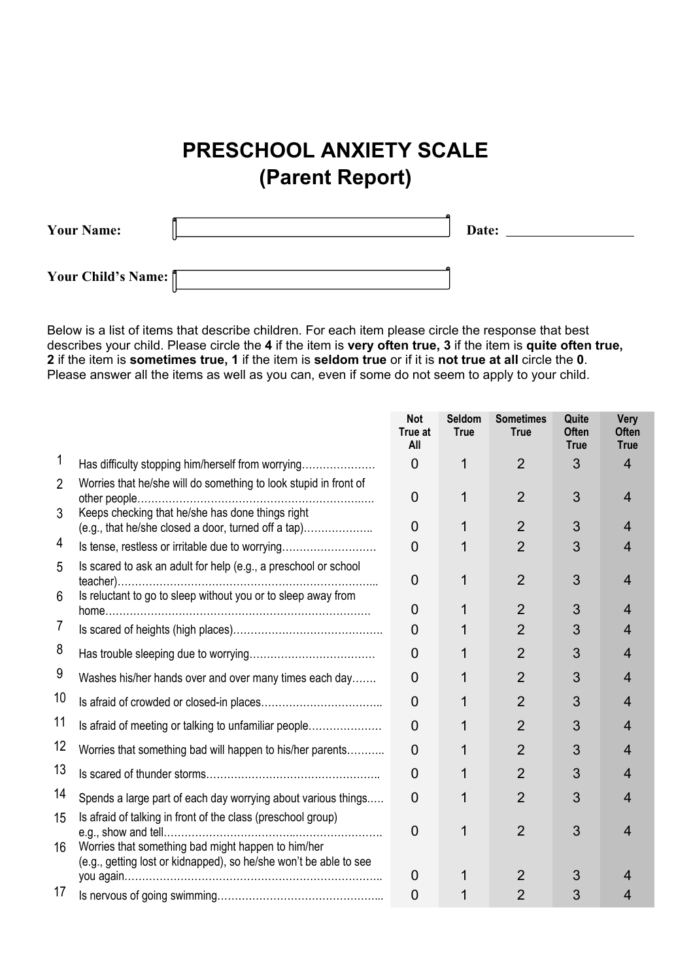## **PRESCHOOL ANXIETY SCALE (Parent Report)**

| <b>Your Name:</b>  | Date: |
|--------------------|-------|
| Your Child's Name: |       |

Below is a list of items that describe children. For each item please circle the response that best describes your child. Please circle the **4** if the item is **very often true, 3** if the item is **quite often true, 2** if the item is **sometimes true, 1** if the item is **seldom true** or if it is **not true at all** circle the **0**. Please answer all the items as well as you can, even if some do not seem to apply to your child.

|                |                                                                                                                                  | <b>Not</b><br>True at<br>All | <b>Seldom</b><br><b>True</b> | <b>Sometimes</b><br><b>True</b> | Quite<br><b>Often</b><br><b>True</b> | Very<br><b>Often</b><br><b>True</b> |
|----------------|----------------------------------------------------------------------------------------------------------------------------------|------------------------------|------------------------------|---------------------------------|--------------------------------------|-------------------------------------|
| 1              | Has difficulty stopping him/herself from worrying                                                                                | 0                            | 1                            | $\overline{2}$                  | 3                                    | $\overline{4}$                      |
| $\overline{2}$ | Worries that he/she will do something to look stupid in front of                                                                 | 0                            | 1                            | $\overline{2}$                  | 3                                    | $\overline{4}$                      |
| 3              | Keeps checking that he/she has done things right<br>(e.g., that he/she closed a door, turned off a tap)                          | 0                            | 1                            | $\overline{2}$                  | 3                                    | 4                                   |
| 4              | Is tense, restless or irritable due to worrying                                                                                  | 0                            |                              | $\overline{2}$                  | 3                                    | 4                                   |
| 5<br>6         | Is scared to ask an adult for help (e.g., a preschool or school<br>Is reluctant to go to sleep without you or to sleep away from | 0                            | 1                            | $\overline{2}$                  | 3                                    | 4                                   |
|                |                                                                                                                                  | 0                            |                              | $\overline{2}$                  | 3                                    |                                     |
| 7              |                                                                                                                                  | 0                            |                              | $\overline{2}$                  | 3                                    | 4                                   |
| 8              |                                                                                                                                  | 0                            | 1                            | $\overline{2}$                  | 3                                    | 4                                   |
| 9              | Washes his/her hands over and over many times each day                                                                           | 0                            |                              | $\overline{2}$                  | 3                                    | 4                                   |
| 10             |                                                                                                                                  | 0                            |                              | $\overline{2}$                  | 3                                    |                                     |
| 11             | Is afraid of meeting or talking to unfamiliar people                                                                             | 0                            | 1                            | $\overline{2}$                  | 3                                    | 4                                   |
| 12             | Worries that something bad will happen to his/her parents                                                                        | 0                            |                              | $\overline{2}$                  | 3                                    | 4                                   |
| 13             |                                                                                                                                  | 0                            | 1                            | $\overline{2}$                  | 3                                    | 4                                   |
| 14             | Spends a large part of each day worrying about various things                                                                    | 0                            | 1                            | $\overline{2}$                  | 3                                    | 4                                   |
| 15             | Is afraid of talking in front of the class (preschool group)                                                                     | $\overline{0}$               | 1                            | $\overline{2}$                  | 3                                    | Δ                                   |
| 16             | Worries that something bad might happen to him/her<br>(e.g., getting lost or kidnapped), so he/she won't be able to see          |                              |                              |                                 |                                      |                                     |
| 17             |                                                                                                                                  | 0                            |                              | $\overline{2}$                  | 3                                    |                                     |
|                |                                                                                                                                  | 0                            |                              | $\overline{2}$                  | 3                                    |                                     |